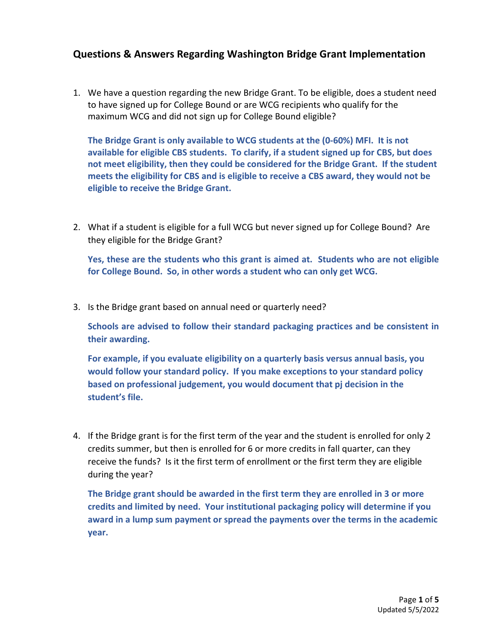## **Questions & Answers Regarding Washington Bridge Grant Implementation**

1. We have a question regarding the new Bridge Grant. To be eligible, does a student need to have signed up for College Bound or are WCG recipients who qualify for the maximum WCG and did not sign up for College Bound eligible?

**The Bridge Grant is only available to WCG students at the (0-60%) MFI. It is not available for eligible CBS students. To clarify, if a student signed up for CBS, but does not meet eligibility, then they could be considered for the Bridge Grant. If the student meets the eligibility for CBS and is eligible to receive a CBS award, they would not be eligible to receive the Bridge Grant.**

2. What if a student is eligible for a full WCG but never signed up for College Bound? Are they eligible for the Bridge Grant?

**Yes, these are the students who this grant is aimed at. Students who are not eligible for College Bound. So, in other words a student who can only get WCG.**

3. Is the Bridge grant based on annual need or quarterly need?

**Schools are advised to follow their standard packaging practices and be consistent in their awarding.**

**For example, if you evaluate eligibility on a quarterly basis versus annual basis, you would follow your standard policy. If you make exceptions to your standard policy based on professional judgement, you would document that pj decision in the student's file.**

4. If the Bridge grant is for the first term of the year and the student is enrolled for only 2 credits summer, but then is enrolled for 6 or more credits in fall quarter, can they receive the funds? Is it the first term of enrollment or the first term they are eligible during the year?

**The Bridge grant should be awarded in the first term they are enrolled in 3 or more credits and limited by need. Your institutional packaging policy will determine if you award in a lump sum payment or spread the payments over the terms in the academic year.**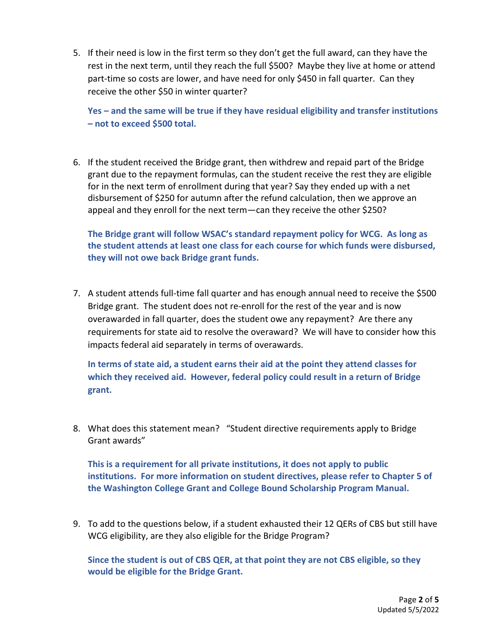5. If their need is low in the first term so they don't get the full award, can they have the rest in the next term, until they reach the full \$500? Maybe they live at home or attend part-time so costs are lower, and have need for only \$450 in fall quarter. Can they receive the other \$50 in winter quarter?

**Yes – and the same will be true if they have residual eligibility and transfer institutions – not to exceed \$500 total.**

6. If the student received the Bridge grant, then withdrew and repaid part of the Bridge grant due to the repayment formulas, can the student receive the rest they are eligible for in the next term of enrollment during that year? Say they ended up with a net disbursement of \$250 for autumn after the refund calculation, then we approve an appeal and they enroll for the next term—can they receive the other \$250?

**The Bridge grant will follow WSAC's standard repayment policy for WCG. As long as the student attends at least one class for each course for which funds were disbursed, they will not owe back Bridge grant funds.** 

7. A student attends full-time fall quarter and has enough annual need to receive the \$500 Bridge grant. The student does not re-enroll for the rest of the year and is now overawarded in fall quarter, does the student owe any repayment? Are there any requirements for state aid to resolve the overaward? We will have to consider how this impacts federal aid separately in terms of overawards.

**In terms of state aid, a student earns their aid at the point they attend classes for which they received aid. However, federal policy could result in a return of Bridge grant.**

8. What does this statement mean? "Student directive requirements apply to Bridge Grant awards"

**This is a requirement for all private institutions, it does not apply to public institutions. For more information on student directives, please refer to Chapter 5 of the Washington College Grant and College Bound Scholarship Program Manual.**

9. To add to the questions below, if a student exhausted their 12 QERs of CBS but still have WCG eligibility, are they also eligible for the Bridge Program?

**Since the student is out of CBS QER, at that point they are not CBS eligible, so they would be eligible for the Bridge Grant.**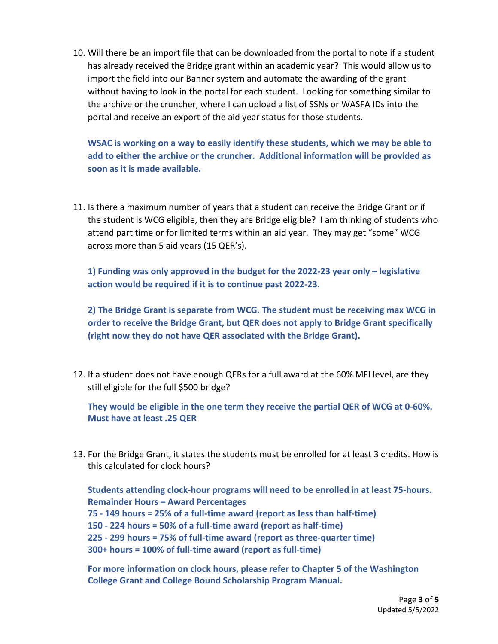10. Will there be an import file that can be downloaded from the portal to note if a student has already received the Bridge grant within an academic year? This would allow us to import the field into our Banner system and automate the awarding of the grant without having to look in the portal for each student. Looking for something similar to the archive or the cruncher, where I can upload a list of SSNs or WASFA IDs into the portal and receive an export of the aid year status for those students.

**WSAC is working on a way to easily identify these students, which we may be able to add to either the archive or the cruncher. Additional information will be provided as soon as it is made available.**

11. Is there a maximum number of years that a student can receive the Bridge Grant or if the student is WCG eligible, then they are Bridge eligible? I am thinking of students who attend part time or for limited terms within an aid year. They may get "some" WCG across more than 5 aid years (15 QER's).

**1) Funding was only approved in the budget for the 2022-23 year only – legislative action would be required if it is to continue past 2022-23.**

**2) The Bridge Grant is separate from WCG. The student must be receiving max WCG in order to receive the Bridge Grant, but QER does not apply to Bridge Grant specifically (right now they do not have QER associated with the Bridge Grant).**

12. If a student does not have enough QERs for a full award at the 60% MFI level, are they still eligible for the full \$500 bridge?

**They would be eligible in the one term they receive the partial QER of WCG at 0-60%. Must have at least .25 QER**

13. For the Bridge Grant, it states the students must be enrolled for at least 3 credits. How is this calculated for clock hours?

**Students attending clock-hour programs will need to be enrolled in at least 75-hours. Remainder Hours – Award Percentages 75 - 149 hours = 25% of a full-time award (report as less than half-time) 150 - 224 hours = 50% of a full-time award (report as half-time) 225 - 299 hours = 75% of full-time award (report as three-quarter time) 300+ hours = 100% of full-time award (report as full-time)**

**For more information on clock hours, please refer to Chapter 5 of the Washington College Grant and College Bound Scholarship Program Manual.**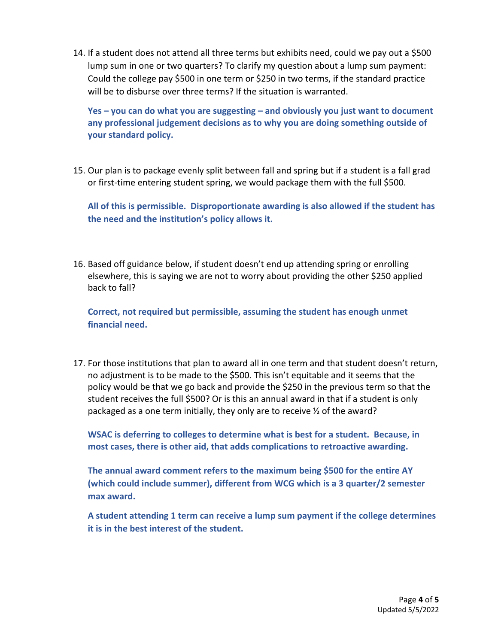14. If a student does not attend all three terms but exhibits need, could we pay out a \$500 lump sum in one or two quarters? To clarify my question about a lump sum payment: Could the college pay \$500 in one term or \$250 in two terms, if the standard practice will be to disburse over three terms? If the situation is warranted.

**Yes – you can do what you are suggesting – and obviously you just want to document any professional judgement decisions as to why you are doing something outside of your standard policy.**

15. Our plan is to package evenly split between fall and spring but if a student is a fall grad or first-time entering student spring, we would package them with the full \$500.

**All of this is permissible. Disproportionate awarding is also allowed if the student has the need and the institution's policy allows it.**

16. Based off guidance below, if student doesn't end up attending spring or enrolling elsewhere, this is saying we are not to worry about providing the other \$250 applied back to fall?

**Correct, not required but permissible, assuming the student has enough unmet financial need.**

17. For those institutions that plan to award all in one term and that student doesn't return, no adjustment is to be made to the \$500. This isn't equitable and it seems that the policy would be that we go back and provide the \$250 in the previous term so that the student receives the full \$500? Or is this an annual award in that if a student is only packaged as a one term initially, they only are to receive ½ of the award?

**WSAC is deferring to colleges to determine what is best for a student. Because, in most cases, there is other aid, that adds complications to retroactive awarding.**

**The annual award comment refers to the maximum being \$500 for the entire AY (which could include summer), different from WCG which is a 3 quarter/2 semester max award.**

**A student attending 1 term can receive a lump sum payment if the college determines it is in the best interest of the student.**